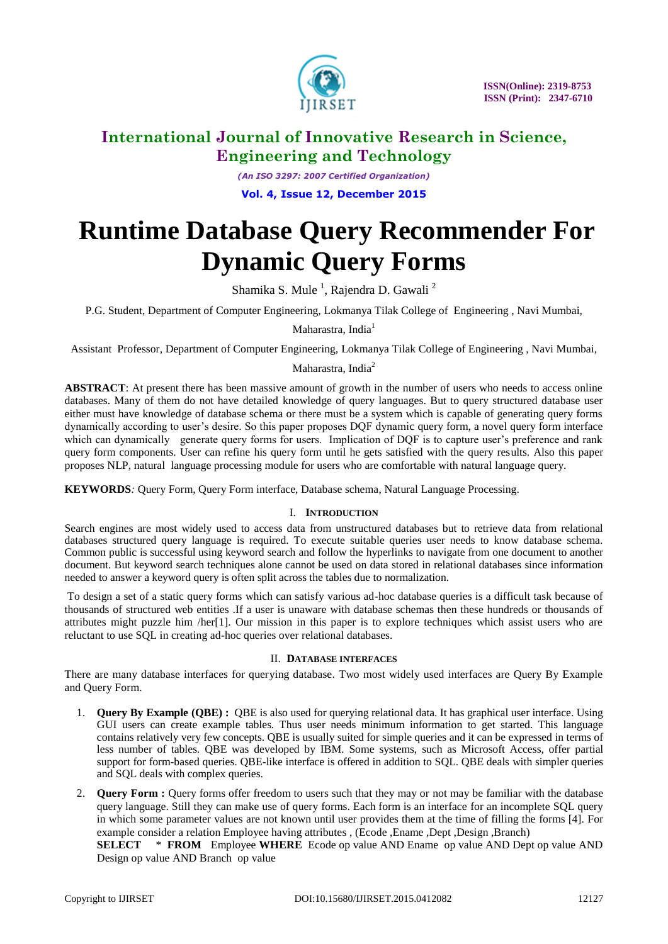

*(An ISO 3297: 2007 Certified Organization)* **Vol. 4, Issue 12, December 2015**

# **Runtime Database Query Recommender For Dynamic Query Forms**

Shamika S. Mule  $^1$ , Rajendra D. Gawali  $^2$ 

P.G. Student, Department of Computer Engineering, Lokmanya Tilak College of Engineering , Navi Mumbai,

Maharastra, India<sup>1</sup>

Assistant Professor, Department of Computer Engineering, Lokmanya Tilak College of Engineering , Navi Mumbai,

# Maharastra, India<sup>2</sup>

**ABSTRACT**: At present there has been massive amount of growth in the number of users who needs to access online databases. Many of them do not have detailed knowledge of query languages. But to query structured database user either must have knowledge of database schema or there must be a system which is capable of generating query forms dynamically according to user"s desire. So this paper proposes DQF dynamic query form, a novel query form interface which can dynamically generate query forms for users. Implication of DQF is to capture user's preference and rank query form components. User can refine his query form until he gets satisfied with the query results. Also this paper proposes NLP, natural language processing module for users who are comfortable with natural language query.

**KEYWORDS***:* Query Form, Query Form interface, Database schema, Natural Language Processing.

# I. **INTRODUCTION**

Search engines are most widely used to access data from unstructured databases but to retrieve data from relational databases structured query language is required. To execute suitable queries user needs to know database schema. Common public is successful using keyword search and follow the hyperlinks to navigate from one document to another document. But keyword search techniques alone cannot be used on data stored in relational databases since information needed to answer a keyword query is often split across the tables due to normalization.

To design a set of a static query forms which can satisfy various ad-hoc database queries is a difficult task because of thousands of structured web entities .If a user is unaware with database schemas then these hundreds or thousands of attributes might puzzle him /her[1]. Our mission in this paper is to explore techniques which assist users who are reluctant to use SQL in creating ad-hoc queries over relational databases.

## II. **DATABASE INTERFACES**

There are many database interfaces for querying database. Two most widely used interfaces are Query By Example and Query Form.

- 1. **Query By Example (QBE) :** QBE is also used for querying relational data. It has graphical user interface. Using GUI users can create example tables. Thus user needs minimum information to get started. This language contains relatively very few concepts. QBE is usually suited for simple queries and it can be expressed in terms of less number of tables. QBE was developed by IBM. Some systems, such as Microsoft Access, offer partial support for form-based queries. QBE-like interface is offered in addition to SQL. QBE deals with simpler queries and SQL deals with complex queries.
- 2. **Query Form :** Query forms offer freedom to users such that they may or not may be familiar with the database query language. Still they can make use of query forms. Each form is an interface for an incomplete SQL query in which some parameter values are not known until user provides them at the time of filling the forms [4]. For example consider a relation Employee having attributes , (Ecode ,Ename ,Dept ,Design ,Branch)

**SELECT** \* **FROM** Employee **WHERE** Ecode op value AND Ename op value AND Dept op value AND Design op value AND Branch op value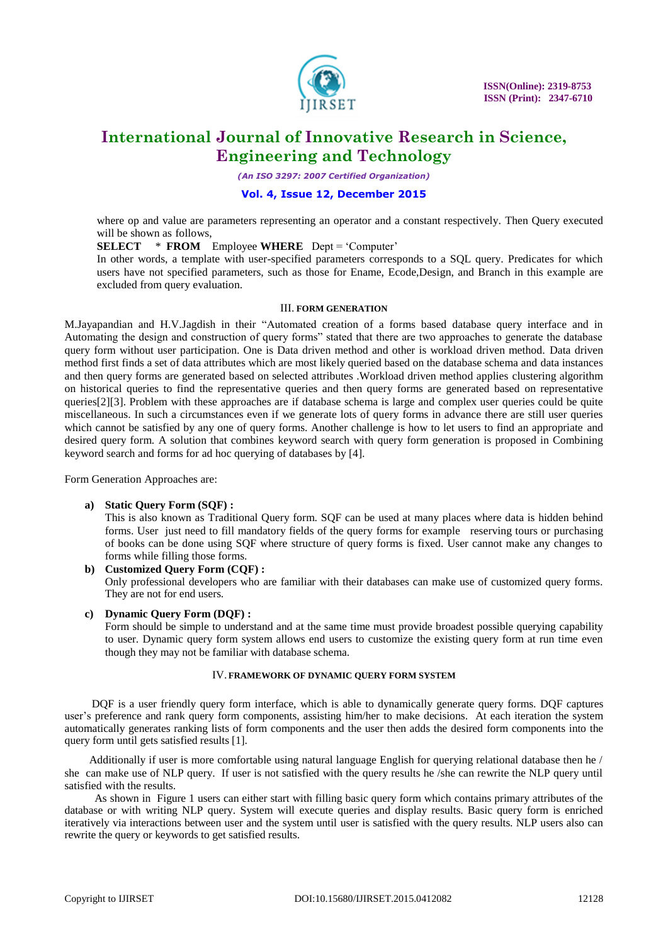

*(An ISO 3297: 2007 Certified Organization)*

### **Vol. 4, Issue 12, December 2015**

where op and value are parameters representing an operator and a constant respectively. Then Query executed will be shown as follows,

**SELECT** \* **FROM** Employee **WHERE** Dept = "Computer"

In other words, a template with user-specified parameters corresponds to a SQL query. Predicates for which users have not specified parameters, such as those for Ename, Ecode,Design, and Branch in this example are excluded from query evaluation.

#### III. **FORM GENERATION**

M.Jayapandian and H.V.Jagdish in their "Automated creation of a forms based database query interface and in Automating the design and construction of query forms" stated that there are two approaches to generate the database query form without user participation. One is Data driven method and other is workload driven method. Data driven method first finds a set of data attributes which are most likely queried based on the database schema and data instances and then query forms are generated based on selected attributes .Workload driven method applies clustering algorithm on historical queries to find the representative queries and then query forms are generated based on representative queries[2][3]. Problem with these approaches are if database schema is large and complex user queries could be quite miscellaneous. In such a circumstances even if we generate lots of query forms in advance there are still user queries which cannot be satisfied by any one of query forms. Another challenge is how to let users to find an appropriate and desired query form. A solution that combines keyword search with query form generation is proposed in Combining keyword search and forms for ad hoc querying of databases by [4].

Form Generation Approaches are:

#### **a) Static Query Form (SQF) :**

This is also known as Traditional Query form. SQF can be used at many places where data is hidden behind forms. User just need to fill mandatory fields of the query forms for example reserving tours or purchasing of books can be done using SQF where structure of query forms is fixed. User cannot make any changes to forms while filling those forms.

**b) Customized Query Form (CQF) :** Only professional developers who are familiar with their databases can make use of customized query forms. They are not for end users.

#### **c) Dynamic Query Form (DQF) :**

Form should be simple to understand and at the same time must provide broadest possible querying capability to user. Dynamic query form system allows end users to customize the existing query form at run time even though they may not be familiar with database schema.

#### IV. **FRAMEWORK OF DYNAMIC QUERY FORM SYSTEM**

 DQF is a user friendly query form interface, which is able to dynamically generate query forms. DQF captures user"s preference and rank query form components, assisting him/her to make decisions. At each iteration the system automatically generates ranking lists of form components and the user then adds the desired form components into the query form until gets satisfied results [1].

 Additionally if user is more comfortable using natural language English for querying relational database then he / she can make use of NLP query. If user is not satisfied with the query results he /she can rewrite the NLP query until satisfied with the results.

 As shown in Figure 1 users can either start with filling basic query form which contains primary attributes of the database or with writing NLP query. System will execute queries and display results. Basic query form is enriched iteratively via interactions between user and the system until user is satisfied with the query results. NLP users also can rewrite the query or keywords to get satisfied results.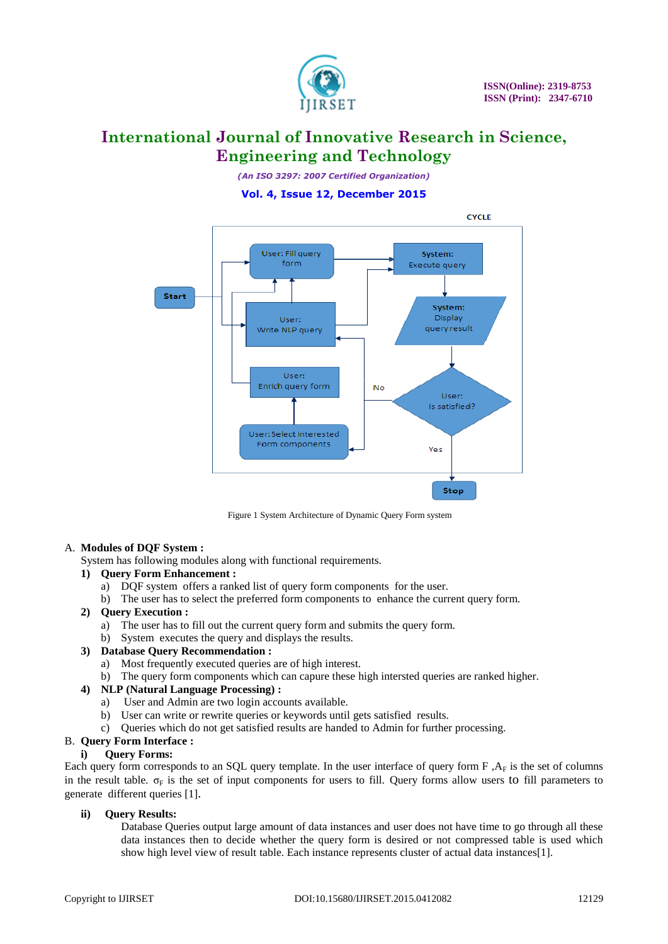

*(An ISO 3297: 2007 Certified Organization)*

# **Vol. 4, Issue 12, December 2015**



Figure 1 System Architecture of Dynamic Query Form system

#### A. **Modules of DQF System :**

System has following modules along with functional requirements.

#### **1) Query Form Enhancement :**

- a) DQF system offers a ranked list of query form components for the user*.*
- b) The user has to select the preferred form components to enhance the current query form.

#### **2) Query Execution :**

- a) The user has to fill out the current query form and submits the query form.
- b) System executes the query and displays the results.

#### **3) Database Query Recommendation :**

- a) Most frequently executed queries are of high interest.
- b) The query form components which can capure these high intersted queries are ranked higher.

## **4) NLP (Natural Language Processing) :**

- a) User and Admin are two login accounts available.
- b) User can write or rewrite queries or keywords until gets satisfied results.
- c) Queries which do not get satisfied results are handed to Admin for further processing.

# B. **Query Form Interface :**

#### **i) Query Forms:**

Each query form corresponds to an SQL query template. In the user interface of query form  $F$ ,  $A_F$  is the set of columns in the result table.  $\sigma_F$  is the set of input components for users to fill. Ouery forms allow users to fill parameters to generate different queries [1].

## **ii) Query Results:**

Database Queries output large amount of data instances and user does not have time to go through all these data instances then to decide whether the query form is desired or not compressed table is used which show high level view of result table. Each instance represents cluster of actual data instances[1].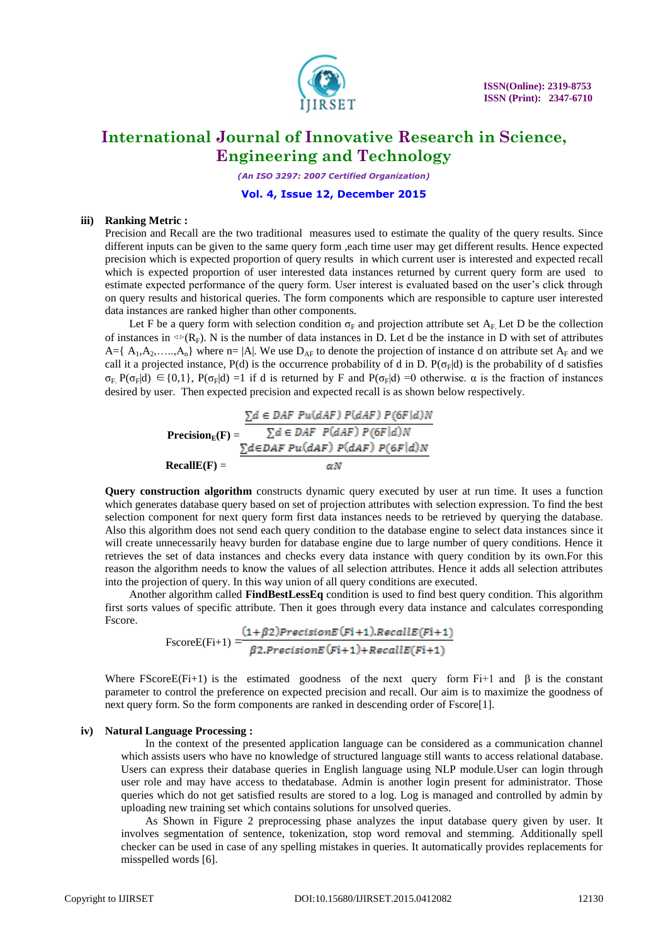

*(An ISO 3297: 2007 Certified Organization)*

#### **Vol. 4, Issue 12, December 2015**

### **iii) Ranking Metric :**

Precision and Recall are the two traditional measures used to estimate the quality of the query results. Since different inputs can be given to the same query form ,each time user may get different results. Hence expected precision which is expected proportion of query results in which current user is interested and expected recall which is expected proportion of user interested data instances returned by current query form are used to estimate expected performance of the query form. User interest is evaluated based on the user"s click through on query results and historical queries. The form components which are responsible to capture user interested data instances are ranked higher than other components.

Let F be a query form with selection condition  $\sigma_F$  and projection attribute set  $A_F$ . Let D be the collection of instances in  $\Phi(R_F)$ . N is the number of data instances in D. Let d be the instance in D with set of attributes  $A = \{ A_1, A_2, \ldots, A_n \}$  where  $n = |A|$ . We use  $D_{AF}$  to denote the projection of instance d on attribute set  $A_F$  and we call it a projected instance, P(d) is the occurrence probability of d in D. P( $\sigma_F$ |d) is the probability of d satisfies  $\sigma_F$  P( $\sigma_F|d$ )  $\in$  {0,1}, P( $\sigma_F|d$ ) =1 if d is returned by F and P( $\sigma_F|d$ ) =0 otherwise.  $\alpha$  is the fraction of instances desired by user. Then expected precision and expected recall is as shown below respectively.

> $\sum d \in {\cal DAF}~Pu(dAF)~P(dAF)~P(6F|d)N$ **Precision**<sub>**E</sub>** $(F)$  **=</sub>**  $RecallE(F) =$

**Query construction algorithm** constructs dynamic query executed by user at run time. It uses a function which generates database query based on set of projection attributes with selection expression. To find the best selection component for next query form first data instances needs to be retrieved by querying the database. Also this algorithm does not send each query condition to the database engine to select data instances since it will create unnecessarily heavy burden for database engine due to large number of query conditions. Hence it retrieves the set of data instances and checks every data instance with query condition by its own.For this reason the algorithm needs to know the values of all selection attributes. Hence it adds all selection attributes into the projection of query. In this way union of all query conditions are executed.

Another algorithm called **FindBestLessEq** condition is used to find best query condition. This algorithm first sorts values of specific attribute. Then it goes through every data instance and calculates corresponding Fscore.

 $\text{FscoreE}(\text{Fi+1}) = \frac{(1+\beta2) \text{PrecisionE}(\text{Fi+1}).\text{RecallE}(\text{Fi+1})}{\beta2.\text{PrecisionE}(\text{Fi+1}) + \text{RecallE}(\text{Fi+1})}$ 

Where FScoreE(Fi+1) is the estimated goodness of the next query form Fi+1 and  $\beta$  is the constant parameter to control the preference on expected precision and recall. Our aim is to maximize the goodness of next query form. So the form components are ranked in descending order of Fscore[1].

#### **iv) Natural Language Processing :**

In the context of the presented application language can be considered as a communication channel which assists users who have no knowledge of structured language still wants to access relational database. Users can express their database queries in English language using NLP module.User can login through user role and may have access to thedatabase. Admin is another login present for administrator. Those queries which do not get satisfied results are stored to a log. Log is managed and controlled by admin by uploading new training set which contains solutions for unsolved queries.

As Shown in Figure 2 preprocessing phase analyzes the input database query given by user. It involves segmentation of sentence, tokenization, stop word removal and stemming. Additionally spell checker can be used in case of any spelling mistakes in queries. It automatically provides replacements for misspelled words [6].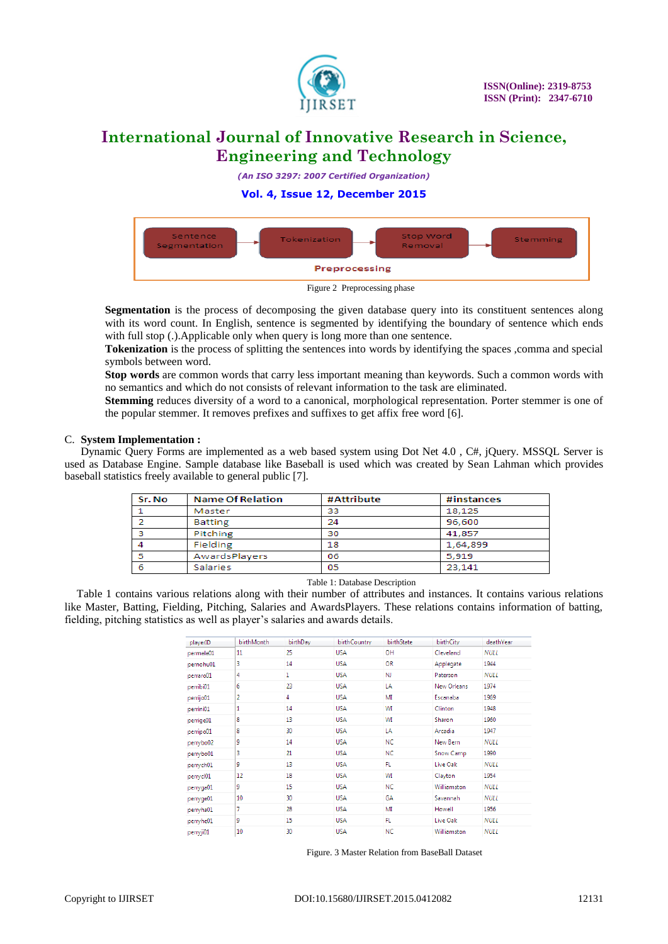

*(An ISO 3297: 2007 Certified Organization)*

**Vol. 4, Issue 12, December 2015**



Figure 2 Preprocessing phase

**Segmentation** is the process of decomposing the given database query into its constituent sentences along with its word count. In English, sentence is segmented by identifying the boundary of sentence which ends with full stop (.).Applicable only when query is long more than one sentence.

**Tokenization** is the process of splitting the sentences into words by identifying the spaces ,comma and special symbols between word.

**Stop words** are common words that carry less important meaning than keywords. Such a common words with no semantics and which do not consists of relevant information to the task are eliminated.

**Stemming** reduces diversity of a word to a canonical, morphological representation. Porter stemmer is one of the popular stemmer. It removes prefixes and suffixes to get affix free word [6].

## C. **System Implementation :**

Dynamic Query Forms are implemented as a web based system using Dot Net 4.0 , C#, jQuery. MSSQL Server is used as Database Engine. Sample database like Baseball is used which was created by Sean Lahman which provides baseball statistics freely available to general public [7].

| Sr. No | <b>Name Of Relation</b> | #Attribute | #instances |
|--------|-------------------------|------------|------------|
|        | Master                  | 33         | 18.125     |
|        | Batting                 | 24         | 96,600     |
| ,      | Pitching                | 30         | 41.857     |
|        | Fielding                | 18         | 1,64,899   |
|        | AwardsPlayers           | 06         | 5.919      |
| 6      | Salaries                | 05         | 23.141     |

#### Table 1: Database Description

Table 1 contains various relations along with their number of attributes and instances. It contains various relations like Master, Batting, Fielding, Pitching, Salaries and AwardsPlayers. These relations contains information of batting, fielding, pitching statistics as well as player"s salaries and awards details.

| playerID  | birthMonth | birthDay | birthCountry | birthState | birthCity   | deathYear   |
|-----------|------------|----------|--------------|------------|-------------|-------------|
| permele01 | 11         | 25       | <b>USA</b>   | OH         | Cleveland   | <b>NULL</b> |
| pernohu01 | 3          | 14       | <b>USA</b>   | <b>OR</b>  | Applegate   | 1944        |
| perraro01 | 4          | 1        | <b>USA</b>   | NJ.        | Paterson    | <b>NULL</b> |
| perribi01 | 6          | 23       | <b>USA</b>   | LA         | New Orleans | 1974        |
| perrijo01 | 2          | 4        | <b>USA</b>   | MI         | Escanaba    | 1969        |
| perrini01 | 1          | 14       | <b>USA</b>   | WI         | Clinton     | 1948        |
| perrige01 | 8          | 13       | <b>USA</b>   | WI         | Sharon      | 1960        |
| perripo01 | 8          | 30       | <b>USA</b>   | LA         | Arcadia     | 1947        |
| perrybo02 | 9          | 14       | <b>USA</b>   | <b>NC</b>  | New Bern    | <b>NULL</b> |
| perrybo01 | 3          | 21       | <b>USA</b>   | NC         | Snow Camp   | 1990        |
| perrych01 | 9          | 13       | <b>USA</b>   | FL.        | Live Oak    | <b>NULL</b> |
| perrycl01 | 12         | 18       | <b>USA</b>   | WI         | Clayton     | 1954        |
| perryga01 | 9          | 15       | <b>USA</b>   | <b>NC</b>  | Williamston | <b>NULL</b> |
| perryge01 | 10         | 30       | <b>USA</b>   | GA         | Savannah    | <b>NULL</b> |
| perryha01 | 7          | 28       | <b>USA</b>   | MI         | Howell      | 1956        |
| perryhe01 | 9          | 15       | <b>USA</b>   | FL         | Live Oak    | <b>NULL</b> |
| perryji01 | 10         | 30       | <b>USA</b>   | <b>NC</b>  | Williamston | <b>NULL</b> |

Figure. 3 Master Relation from BaseBall Dataset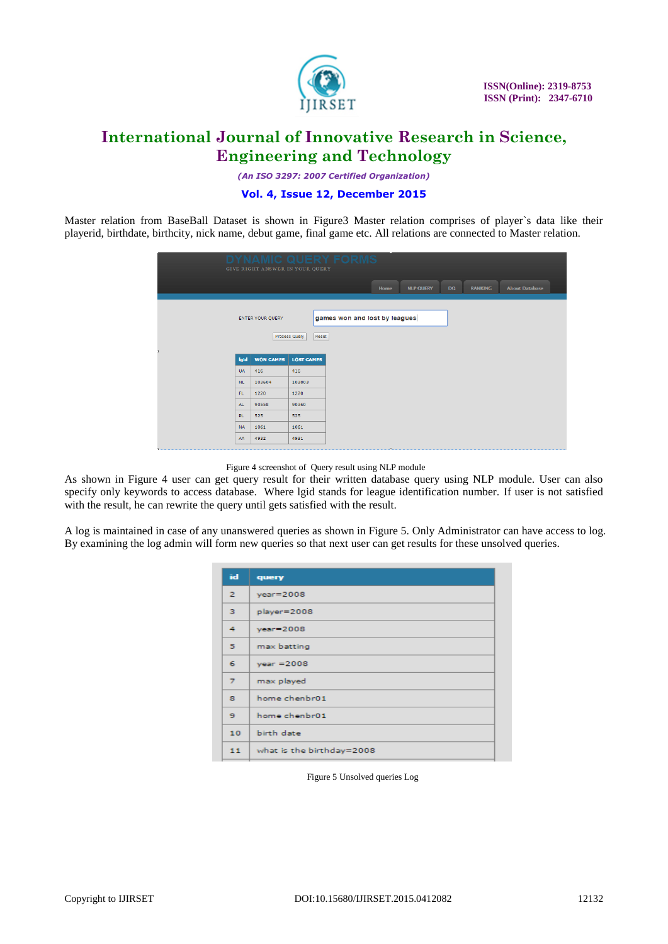

*(An ISO 3297: 2007 Certified Organization)*

# **Vol. 4, Issue 12, December 2015**

Master relation from BaseBall Dataset is shown in Figure3 Master relation comprises of player`s data like their playerid, birthdate, birthcity, nick name, debut game, final game etc. All relations are connected to Master relation.

|           | GIVE RIGHT ANSWER IN YOUR QUERY |                   |       | UFRY FORM                     | IS.    |                  |     |                |                       |
|-----------|---------------------------------|-------------------|-------|-------------------------------|--------|------------------|-----|----------------|-----------------------|
|           |                                 |                   |       |                               | Home   | <b>NLP QUERY</b> | DQ. | <b>RANKING</b> | <b>About Database</b> |
|           | <b>ENTER YOUR QUERY</b>         | Process Query     | Reset | games won and lost by leagues |        |                  |     |                |                       |
| lgid      | <b>WON GAMES</b>                | <b>LOST GAMES</b> |       |                               |        |                  |     |                |                       |
| <b>UA</b> | 416                             | 416               |       |                               |        |                  |     |                |                       |
| NL.       | 103604                          | 103803            |       |                               |        |                  |     |                |                       |
| FL.       | 1220                            | 1220              |       |                               |        |                  |     |                |                       |
| AL.       | 90558                           | 90360             |       |                               |        |                  |     |                |                       |
| PL.       | 525                             | 525               |       |                               |        |                  |     |                |                       |
| <b>NA</b> | 1061                            | 1061              |       |                               |        |                  |     |                |                       |
| AA        | 4932                            | 4931              |       |                               | $\sim$ |                  |     |                |                       |

Figure 4 screenshot of Query result using NLP module

As shown in Figure 4 user can get query result for their written database query using NLP module. User can also specify only keywords to access database. Where lgid stands for league identification number. If user is not satisfied with the result, he can rewrite the query until gets satisfied with the result.

A log is maintained in case of any unanswered queries as shown in Figure 5. Only Administrator can have access to log. By examining the log admin will form new queries so that next user can get results for these unsolved queries.

| id              | query                     |
|-----------------|---------------------------|
| $\mathbf{z}$    | $year = 2008$             |
| з               | player=2008               |
| 4               | $year = 2008$             |
| 5.              | max batting               |
| 6               | $year = 2008$             |
| 7               | max played                |
| 8               | home chenbr01             |
| 9               | home chenbr01             |
| 10 <sub>1</sub> | birth date                |
| 11              | what is the birthday=2008 |

Figure 5 Unsolved queries Log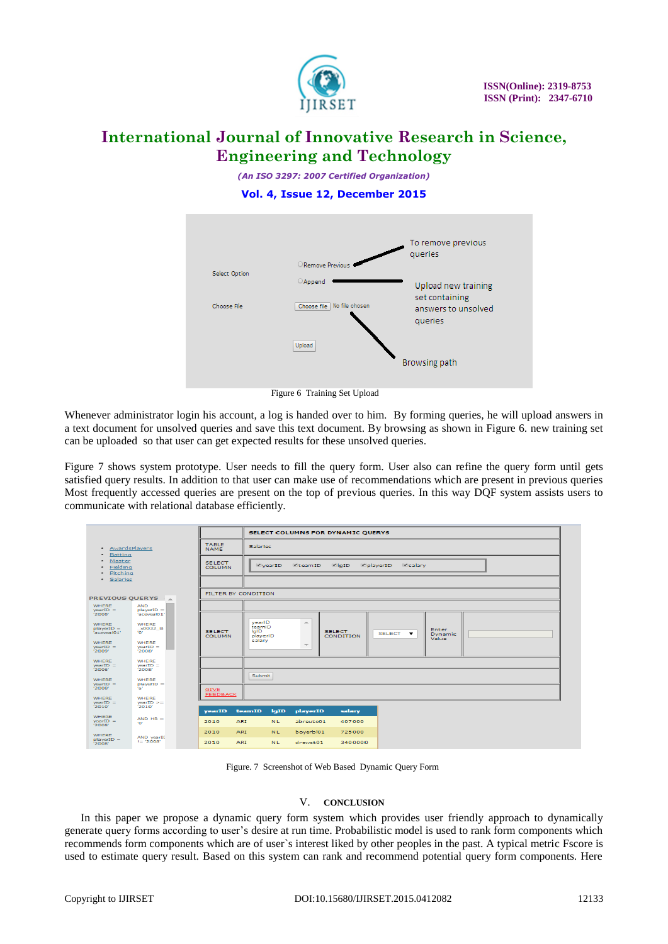

*(An ISO 3297: 2007 Certified Organization)*

**Vol. 4, Issue 12, December 2015**



Figure 6 Training Set Upload

Whenever administrator login his account, a log is handed over to him. By forming queries, he will upload answers in a text document for unsolved queries and save this text document. By browsing as shown in Figure 6. new training set can be uploaded so that user can get expected results for these unsolved queries.

Figure 7 shows system prototype. User needs to fill the query form. User also can refine the query form until gets satisfied query results. In addition to that user can make use of recommendations which are present in previous queries Most frequently accessed queries are present on the top of previous queries. In this way DQF system assists users to communicate with relational database efficiently.

| · AwardsPlayers<br>· Batting<br>Master<br>$\bullet$<br>· Fielding<br>Pitching<br>$\bullet$<br>· Salaries |                           |                                                                         | SELECT COLUMNS FOR DYNAMIC QUERYS                                                          |                                  |                                                          |                                         |  |  |  |
|----------------------------------------------------------------------------------------------------------|---------------------------|-------------------------------------------------------------------------|--------------------------------------------------------------------------------------------|----------------------------------|----------------------------------------------------------|-----------------------------------------|--|--|--|
|                                                                                                          |                           | <b>Salaries</b>                                                         |                                                                                            |                                  |                                                          |                                         |  |  |  |
|                                                                                                          |                           |                                                                         | <b>ElgID</b><br>playerID<br>EteamID<br><b>Esalary</b><br>VyearID                           |                                  |                                                          |                                         |  |  |  |
| <b>PREVIOUS QUERYS</b>                                                                                   |                           |                                                                         |                                                                                            |                                  |                                                          |                                         |  |  |  |
| <b>AND</b><br>$playerID =$                                                                               |                           |                                                                         |                                                                                            |                                  |                                                          |                                         |  |  |  |
| <b>WHERE</b><br>x0032 B<br>non-<br><b>WHERE</b>                                                          | <b>SELECT</b><br>COLUMN.  | yearlD<br>teamID<br><b>IgID</b><br>playerID<br>salary                   | <b>ALC</b>                                                                                 | <b>SELECT</b><br>CONDITION       | SELECT <b>v</b>                                          | <b>Enter</b><br><b>Dynamic</b><br>Value |  |  |  |
| '2008'                                                                                                   |                           |                                                                         |                                                                                            |                                  |                                                          |                                         |  |  |  |
| <b>WHERE</b><br>$yearID =$<br>2008                                                                       |                           |                                                                         |                                                                                            |                                  |                                                          |                                         |  |  |  |
| <b>WHERE</b><br>$playerID =$<br>tat.                                                                     | <b>GIVE</b>               | <b>Submit</b>                                                           |                                                                                            |                                  |                                                          |                                         |  |  |  |
| <b>WHERE</b><br>$yearID >=$<br>72010'                                                                    |                           |                                                                         |                                                                                            |                                  |                                                          |                                         |  |  |  |
| $AND HR =$<br>non                                                                                        | 2010                      |                                                                         |                                                                                            | 407000                           |                                                          |                                         |  |  |  |
| AND year!!<br>$!=$ '2008'                                                                                | 2010<br>2010              |                                                                         |                                                                                            | 725000                           |                                                          |                                         |  |  |  |
|                                                                                                          | "aceveal01"<br>$yearID =$ | <b>TABLE</b><br><b>NAME</b><br><b>SELECT</b><br><b>COLUMN</b><br>vearID | FILTER BY CONDITION<br><b>FEEDBACK</b><br>teamID<br><b>ART</b><br><b>ARI</b><br><b>ART</b> | $-$<br>lqID<br>NL.<br>NL.<br>NL. | playerID<br>salary<br>abreuto01<br>boyerbl01<br>drewst01 | 3400000                                 |  |  |  |

Figure. 7 Screenshot of Web Based Dynamic Query Form

## V. **CONCLUSION**

In this paper we propose a dynamic query form system which provides user friendly approach to dynamically generate query forms according to user"s desire at run time. Probabilistic model is used to rank form components which recommends form components which are of user`s interest liked by other peoples in the past. A typical metric Fscore is used to estimate query result. Based on this system can rank and recommend potential query form components. Here